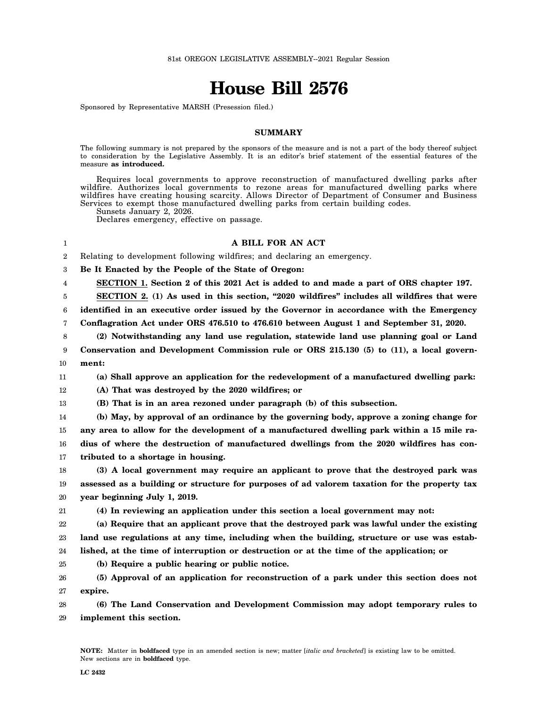## **House Bill 2576**

Sponsored by Representative MARSH (Presession filed.)

## **SUMMARY**

The following summary is not prepared by the sponsors of the measure and is not a part of the body thereof subject to consideration by the Legislative Assembly. It is an editor's brief statement of the essential features of the measure **as introduced.**

Requires local governments to approve reconstruction of manufactured dwelling parks after wildfire. Authorizes local governments to rezone areas for manufactured dwelling parks where wildfires have creating housing scarcity. Allows Director of Department of Consumer and Business Services to exempt those manufactured dwelling parks from certain building codes.

Sunsets January 2, 2026.

Declares emergency, effective on passage.

## **A BILL FOR AN ACT**

2 Relating to development following wildfires; and declaring an emergency.

3 **Be It Enacted by the People of the State of Oregon:**

4 **SECTION 1. Section 2 of this 2021 Act is added to and made a part of ORS chapter 197.**

5 **SECTION 2. (1) As used in this section, "2020 wildfires" includes all wildfires that were**

6 **identified in an executive order issued by the Governor in accordance with the Emergency**

7 **Conflagration Act under ORS 476.510 to 476.610 between August 1 and September 31, 2020.**

- 8 9 **(2) Notwithstanding any land use regulation, statewide land use planning goal or Land Conservation and Development Commission rule or ORS 215.130 (5) to (11), a local govern-**
- 10 **ment:**

1

11 **(a) Shall approve an application for the redevelopment of a manufactured dwelling park:**

12 **(A) That was destroyed by the 2020 wildfires; or**

13 **(B) That is in an area rezoned under paragraph (b) of this subsection.**

14 15 16 17 **(b) May, by approval of an ordinance by the governing body, approve a zoning change for any area to allow for the development of a manufactured dwelling park within a 15 mile radius of where the destruction of manufactured dwellings from the 2020 wildfires has contributed to a shortage in housing.**

18 19 20 **(3) A local government may require an applicant to prove that the destroyed park was assessed as a building or structure for purposes of ad valorem taxation for the property tax year beginning July 1, 2019.**

21

**(4) In reviewing an application under this section a local government may not:**

22 23 **(a) Require that an applicant prove that the destroyed park was lawful under the existing land use regulations at any time, including when the building, structure or use was estab-**

24 **lished, at the time of interruption or destruction or at the time of the application; or**

25 **(b) Require a public hearing or public notice.**

26 27 **(5) Approval of an application for reconstruction of a park under this section does not expire.**

28 29 **(6) The Land Conservation and Development Commission may adopt temporary rules to implement this section.**